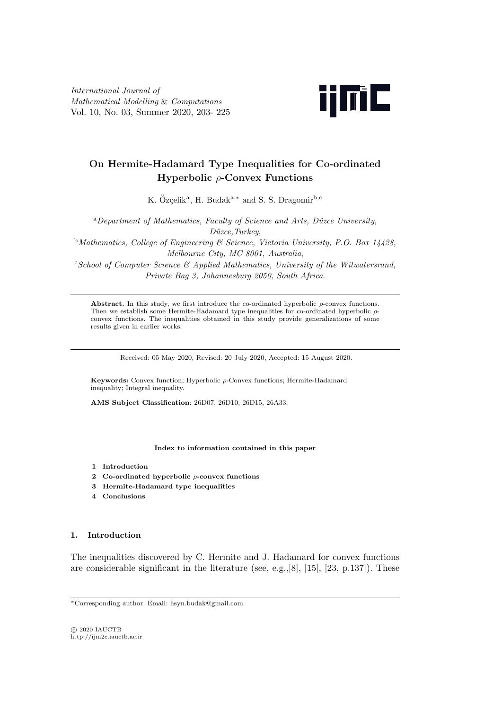*International Journal of Mathematical Modelling* & *Computations* Vol. 10, No. 03, Summer 2020, 203- 225



# **On Hermite-Hadamard Type Inequalities for Co-ordinated Hyperbolic** *ρ***-Convex Functions**

K. Özçelik<sup>a</sup>, H. Budak<sup>a,\*</sup> and S. S. Dragomir<sup>b,c</sup>

<sup>a</sup>Department of Mathematics, Faculty of Science and Arts, Düzce University, *D¨uzce,Turkey*,

<sup>b</sup>*Mathematics, College of Engineering & Science, Victoria University, P.O. Box 14428, Melbourne City, MC 8001, Australia*,

<sup>c</sup>*School of Computer Science & Applied Mathematics, University of the Witwatersrand, Private Bag 3, Johannesburg 2050, South Africa*.

**Abstract.** In this study, we first introduce the co-ordinated hyperbolic *ρ*-convex functions. Then we establish some Hermite-Hadamard type inequalities for co-ordinated hyperbolic *ρ*convex functions. The inequalities obtained in this study provide generalizations of some results given in earlier works.

Received: 05 May 2020, Revised: 20 July 2020, Accepted: 15 August 2020.

**Keywords:** Convex function; Hyperbolic *ρ*-Convex functions; Hermite-Hadamard inequality; Integral inequality.

**AMS Subject Classification**: 26D07, 26D10, 26D15, 26A33.

**Index to information contained in this paper**

- **1 Introduction**
- **2 Co-ordinated hyperbolic** *ρ***-convex functions**
- **3 Hermite-Hadamard type inequalities**
- **4 Conclusions**

# **1. Introduction**

The inequalities discovered by C. Hermite and J. Hadamard for convex functions are considerable significant in the literature (see, e.g.,[8], [15], [23, p.137]). These

*⃝*c 2020 IAUCTB http://ijm2c.iauctb.ac.ir

*<sup>∗</sup>*Corresponding author. Email: hsyn.budak@gmail.com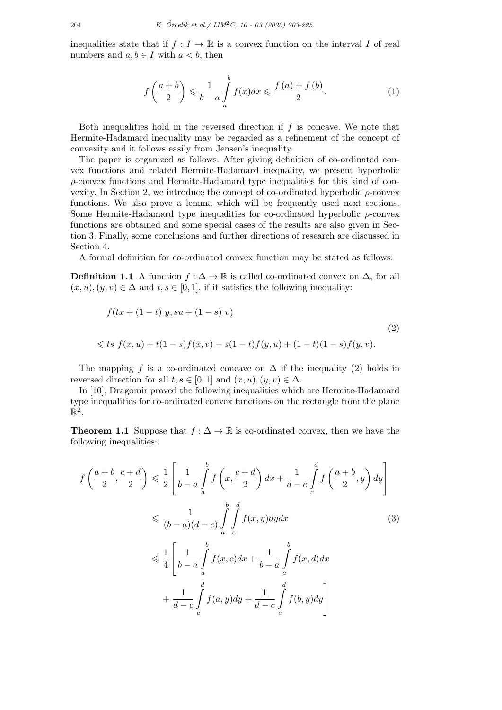inequalities state that if  $f: I \to \mathbb{R}$  is a convex function on the interval *I* of real numbers and  $a, b \in I$  with  $a < b$ , then

$$
f\left(\frac{a+b}{2}\right) \leqslant \frac{1}{b-a} \int\limits_{a}^{b} f(x)dx \leqslant \frac{f\left(a\right) + f\left(b\right)}{2}.\tag{1}
$$

Both inequalities hold in the reversed direction if *f* is concave. We note that Hermite-Hadamard inequality may be regarded as a refinement of the concept of convexity and it follows easily from Jensen's inequality.

The paper is organized as follows. After giving definition of co-ordinated convex functions and related Hermite-Hadamard inequality, we present hyperbolic *ρ*-convex functions and Hermite-Hadamard type inequalities for this kind of convexity. In Section 2, we introduce the concept of co-ordinated hyperbolic *ρ*-convex functions. We also prove a lemma which will be frequently used next sections. Some Hermite-Hadamard type inequalities for co-ordinated hyperbolic *ρ*-convex functions are obtained and some special cases of the results are also given in Section 3. Finally, some conclusions and further directions of research are discussed in Section 4.

A formal definition for co-ordinated convex function may be stated as follows:

**Definition 1.1** A function  $f: \Delta \to \mathbb{R}$  is called co-ordinated convex on  $\Delta$ , for all  $(x, u), (y, v) \in \Delta$  and  $t, s \in [0, 1]$ , if it satisfies the following inequality:

$$
f(tx + (1-t) y, su + (1-s) v)
$$
  

$$
\leq ts \ f(x, u) + t(1-s)f(x, v) + s(1-t)f(y, u) + (1-t)(1-s)f(y, v).
$$
  
(2)

The mapping *f* is a co-ordinated concave on  $\Delta$  if the inequality (2) holds in reversed direction for all  $t, s \in [0, 1]$  and  $(x, u), (y, v) \in \Delta$ .

In [10], Dragomir proved the following inequalities which are Hermite-Hadamard type inequalities for co-ordinated convex functions on the rectangle from the plane  $\mathbb{R}^2$ .

**Theorem 1.1** Suppose that  $f : \Delta \to \mathbb{R}$  is co-ordinated convex, then we have the following inequalities:

$$
f\left(\frac{a+b}{2}, \frac{c+d}{2}\right) \leq \frac{1}{2} \left[ \frac{1}{b-a} \int_{a}^{b} f\left(x, \frac{c+d}{2}\right) dx + \frac{1}{d-c} \int_{c}^{d} f\left(\frac{a+b}{2}, y\right) dy \right]
$$
  

$$
\leq \frac{1}{(b-a)(d-c)} \int_{a}^{b} \int_{c}^{d} f(x, y) dy dx \qquad (3)
$$
  

$$
\leq \frac{1}{4} \left[ \frac{1}{b-a} \int_{a}^{b} f(x, c) dx + \frac{1}{b-a} \int_{a}^{b} f(x, d) dx + \frac{1}{d-c} \int_{c}^{d} f(a, y) dy + \frac{1}{d-c} \int_{c}^{d} f(b, y) dy \right]
$$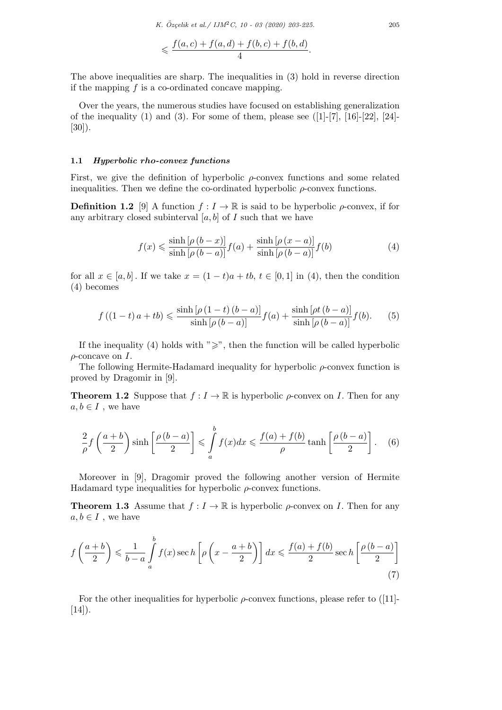$$
\leqslant \frac{f(a,c)+f(a,d)+f(b,c)+f(b,d)}{4}.
$$

The above inequalities are sharp. The inequalities in (3) hold in reverse direction if the mapping *f* is a co-ordinated concave mapping.

Over the years, the numerous studies have focused on establishing generalization of the inequality (1) and (3). For some of them, please see  $([1]-[7], [16]-[22], [24]-$ [30]).

## **1.1** *Hyperbolic rho-convex functions*

First, we give the definition of hyperbolic *ρ*-convex functions and some related inequalities. Then we define the co-ordinated hyperbolic  $\rho$ -convex functions.

**Definition 1.2** [9] A function  $f: I \to \mathbb{R}$  is said to be hyperbolic  $\rho$ -convex, if for any arbitrary closed subinterval  $[a, b]$  of  $I$  such that we have

$$
f(x) \leqslant \frac{\sinh\left[\rho\left(b-x\right)\right]}{\sinh\left[\rho\left(b-a\right)\right]}f(a) + \frac{\sinh\left[\rho\left(x-a\right)\right]}{\sinh\left[\rho\left(b-a\right)\right]}f(b)
$$
\n<sup>(4)</sup>

for all  $x \in [a, b]$ . If we take  $x = (1 - t)a + tb$ ,  $t \in [0, 1]$  in (4), then the condition (4) becomes

$$
f((1-t)a + tb) \le \frac{\sinh[\rho(1-t)(b-a)]}{\sinh[\rho(b-a)]} f(a) + \frac{\sinh[\rho t(b-a)]}{\sinh[\rho(b-a)]} f(b).
$$
 (5)

If the inequality (4) holds with " $\geq$ ", then the function will be called hyperbolic *ρ*-concave on *I.*

The following Hermite-Hadamard inequality for hyperbolic *ρ*-convex function is proved by Dragomir in [9].

**Theorem 1.2** Suppose that  $f: I \to \mathbb{R}$  is hyperbolic  $\rho$ -convex on *I*. Then for any  $a, b \in I$ , we have

$$
\frac{2}{\rho} f\left(\frac{a+b}{2}\right) \sinh\left[\frac{\rho\left(b-a\right)}{2}\right] \leqslant \int\limits_{a}^{b} f(x)dx \leqslant \frac{f(a)+f(b)}{\rho} \tanh\left[\frac{\rho\left(b-a\right)}{2}\right].\tag{6}
$$

Moreover in [9], Dragomir proved the following another version of Hermite Hadamard type inequalities for hyperbolic *ρ*-convex functions.

**Theorem 1.3** Assume that  $f: I \to \mathbb{R}$  is hyperbolic  $\rho$ -convex on *I*. Then for any  $a, b \in I$ , we have

$$
f\left(\frac{a+b}{2}\right) \leqslant \frac{1}{b-a} \int\limits_{a}^{b} f(x) \sec h\left[\rho\left(x - \frac{a+b}{2}\right)\right] dx \leqslant \frac{f(a) + f(b)}{2} \sec h\left[\frac{\rho\left(b-a\right)}{2}\right] \tag{7}
$$

For the other inequalities for hyperbolic *ρ*-convex functions, please refer to ([11]-  $[14]$ ).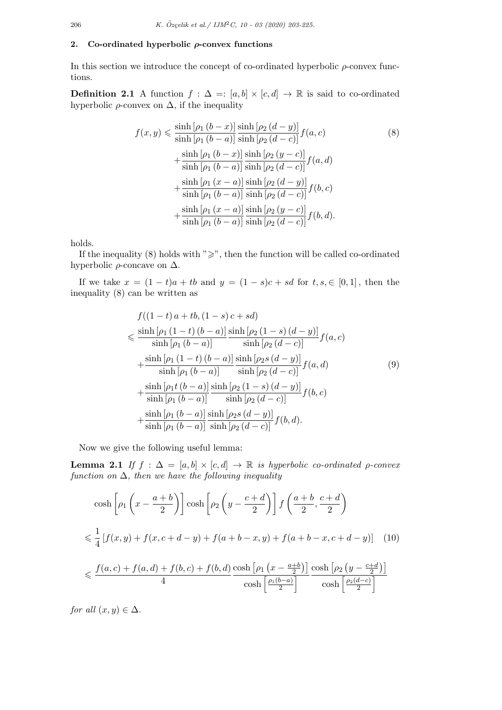## **2. Co-ordinated hyperbolic** *ρ***-convex functions**

In this section we introduce the concept of co-ordinated hyperbolic *ρ*-convex functions.

**Definition 2.1** A function  $f : \Delta =: [a, b] \times [c, d] \rightarrow \mathbb{R}$  is said to co-ordinated hyperbolic  $\rho$ -convex on  $\Delta$ , if the inequality

$$
f(x,y) \leq \frac{\sinh [ \rho_1 (b-x)]}{\sinh [ \rho_1 (b-a)]} \frac{\sinh [ \rho_2 (d-y)]}{\sinh [ \rho_2 (d-c)]} f(a,c)
$$
\n
$$
+ \frac{\sinh [ \rho_1 (b-x)]}{\sinh [ \rho_1 (b-a)]} \frac{\sinh [ \rho_2 (y-c)]}{\sinh [ \rho_2 (d-c)]} f(a,d)
$$
\n
$$
+ \frac{\sinh [ \rho_1 (x-a)]}{\sinh [ \rho_1 (b-a)]} \frac{\sinh [ \rho_2 (d-y)]}{\sinh [ \rho_2 (d-c)]} f(b,c)
$$
\n
$$
+ \frac{\sinh [ \rho_1 (x-a)]}{\sinh [ \rho_1 (b-a)]} \frac{\sinh [ \rho_2 (y-c)]}{\sinh [ \rho_2 (d-c)]} f(b,d).
$$
\n(8)

holds.

If the inequality (8) holds with " $\geq$ ", then the function will be called co-ordinated hyperbolic *ρ*-concave on ∆*.*

If we take  $x = (1 - t)a + tb$  and  $y = (1 - s)c + sd$  for  $t, s, \in [0, 1]$ , then the inequality (8) can be written as

$$
f((1-t)a + tb, (1-s)c + sd)
$$
  
\$\leq\$  $\frac{\sinh [p_1 (1-t) (b-a)]}{\sinh [p_1 (b-a)]} \frac{\sinh [p_2 (1-s) (d-y)]}{\sinh [p_2 (d-c)]} f(a, c)$   
\$+  $\frac{\sinh [p_1 (1-t) (b-a)]}{\sinh [p_1 (b-a)]} \frac{\sinh [p_2 s (d-y)]}{\sinh [p_2 (d-c)]} f(a, d)$   
\$+  $\frac{\sinh [p_1 t (b-a)]}{\sinh [p_1 (b-a)]} \frac{\sinh [p_2 (1-s) (d-y)]}{\sinh [p_2 (d-c)]} f(b, c)$   
\$+  $\frac{\sinh [p_1 (b-a)]}{\sinh [p_1 (b-a)]} \frac{\sinh [p_2 s (d-y)]}{\sinh [p_2 (d-c)]} f(b, d).$  (9)

Now we give the following useful lemma:

**Lemma 2.1** *If*  $f : \Delta = [a, b] \times [c, d] \rightarrow \mathbb{R}$  *is hyperbolic co-ordinated*  $\rho$ *-convex function on* ∆*, then we have the following inequality*

$$
\cosh\left[\rho_1\left(x-\frac{a+b}{2}\right)\right]\cosh\left[\rho_2\left(y-\frac{c+d}{2}\right)\right]f\left(\frac{a+b}{2},\frac{c+d}{2}\right)
$$
  

$$
\leq \frac{1}{4}\left[f(x,y)+f(x,c+d-y)+f(a+b-x,y)+f(a+b-x,c+d-y)\right] \quad (10)
$$
  

$$
\leq \frac{f(a,c)+f(a,d)+f(b,c)+f(b,d)}{4}\frac{\cosh\left[\rho_1\left(x-\frac{a+b}{2}\right)\right]}{\cosh\left[\frac{\rho_1(b-a)}{2}\right]}\frac{\cosh\left[\rho_2\left(y-\frac{c+d}{2}\right)\right]}{\cosh\left[\frac{\rho_2(d-c)}{2}\right]}
$$

*for all*  $(x, y) \in \Delta$ *.*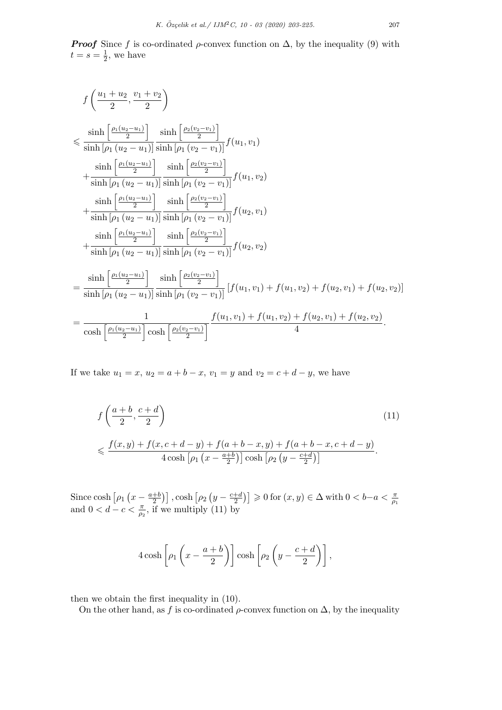*Proof* Since *f* is co-ordinated  $\rho$ -convex function on  $\Delta$ , by the inequality (9) with  $t = s = \frac{1}{2}$  $\frac{1}{2}$ , we have

$$
f\left(\frac{u_1+u_2}{2}, \frac{v_1+v_2}{2}\right)
$$
  
\n
$$
\leq \frac{\sinh\left[\frac{\rho_1(u_2-u_1)}{2}\right]}{\sinh\left[\rho_1(u_2-u_1)\right]} \frac{\sinh\left[\frac{\rho_2(v_2-v_1)}{2}\right]}{\sinh\left[\rho_1(v_2-v_1)\right]} f(u_1, v_1)
$$
  
\n
$$
+ \frac{\sinh\left[\frac{\rho_1(u_2-u_1)}{2}\right]}{\sinh\left[\rho_1(u_2-u_1)\right]} \frac{\sinh\left[\frac{\rho_2(v_2-v_1)}{2}\right]}{\sinh\left[\rho_1(v_2-v_1)\right]} f(u_1, v_2)
$$
  
\n
$$
+ \frac{\sinh\left[\frac{\rho_1(u_2-u_1)}{2}\right]}{\sinh\left[\rho_1(u_2-u_1)\right]} \frac{\sinh\left[\frac{\rho_2(v_2-v_1)}{2}\right]}{\sinh\left[\rho_1(v_2-v_1)\right]} f(u_2, v_1)
$$
  
\n
$$
+ \frac{\sinh\left[\frac{\rho_1(u_2-u_1)}{2}\right]}{\sinh\left[\rho_1(u_2-u_1)\right]} \frac{\sinh\left[\frac{\rho_2(v_2-v_1)}{2}\right]}{\sinh\left[\rho_1(v_2-v_1)\right]} f(u_2, v_2)
$$
  
\n
$$
= \frac{\sinh\left[\frac{\rho_1(u_2-u_1)}{2}\right]}{\sinh\left[\rho_1(u_2-u_1)\right]} \frac{\sinh\left[\frac{\rho_2(v_2-v_1)}{2}\right]}{\sinh\left[\rho_1(v_2-v_1)\right]} \left[f(u_1, v_1) + f(u_1, v_2) + f(u_2, v_1) + f(u_2, v_2)\right]
$$
  
\n
$$
= \frac{1}{\cosh\left[\frac{\rho_1(u_2-u_1)}{2}\right] \cosh\left[\frac{\rho_2(v_2-v_1)}{2}\right]} \frac{f(u_1, v_1) + f(u_1, v_2) + f(u_2, v_1) + f(u_2, v_2)}{4}
$$

If we take  $u_1 = x$ ,  $u_2 = a + b - x$ ,  $v_1 = y$  and  $v_2 = c + d - y$ , we have

$$
f\left(\frac{a+b}{2}, \frac{c+d}{2}\right)
$$
\n
$$
\leqslant \frac{f(x,y) + f(x,c+d-y) + f(a+b-x,y) + f(a+b-x,c+d-y)}{4\cosh\left[\rho_1\left(x-\frac{a+b}{2}\right)\right]\cosh\left[\rho_2\left(y-\frac{c+d}{2}\right)\right]}.
$$
\n
$$
(11)
$$

Since  $\cosh \left[ \rho_1 \left( x - \frac{a+b}{2} \right) \right]$  $\left[\rho_2\left(y-\frac{c+d}{2}\right)\right]$ ,  $\cosh\left[\rho_2\left(y-\frac{c+d}{2}\right)\right]$ Since cosh  $\left[\rho_1 \left(x - \frac{a+b}{2}\right)\right]$ , cosh  $\left[\rho_2 \left(y - \frac{c+d}{2}\right)\right] \ge 0$  for  $(x, y) \in \Delta$  with  $0 < b-a < \frac{\pi}{\rho_1}$  and  $0 < d - c < \frac{\pi}{\rho_2}$ , if we multiply (11) by

$$
4\cosh\left[\rho_1\left(x-\frac{a+b}{2}\right)\right]\cosh\left[\rho_2\left(y-\frac{c+d}{2}\right)\right],
$$

then we obtain the first inequality in (10).

On the other hand, as *f* is co-ordinated  $\rho$ -convex function on  $\Delta$ , by the inequality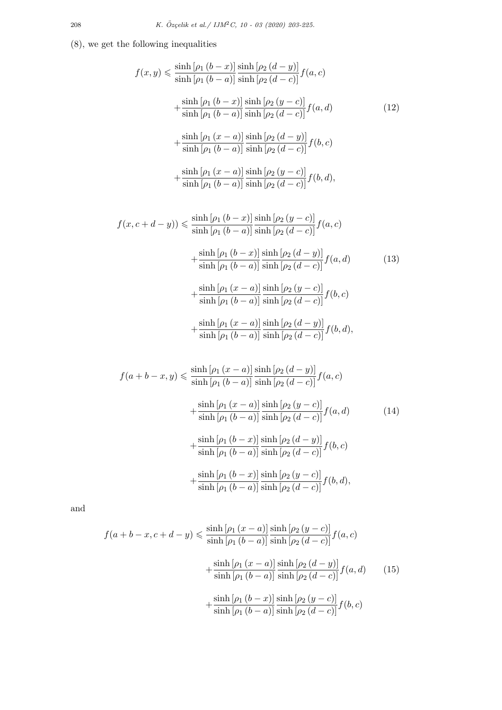(8), we get the following inequalities

$$
f(x,y) \leq \frac{\sinh [a_1(b-x)] \sinh [a_2(d-y)]}{\sinh [a_1(b-a)] \sinh [a_2(d-c)]} f(a,c)
$$
  
+ 
$$
\frac{\sinh [a_1(b-x)] \sinh [a_2(y-c)]}{\sinh [a_1(b-a)] \sinh [a_2(d-c)]} f(a,d)
$$
(12)  
+ 
$$
\frac{\sinh [a_1(x-a)] \sinh [a_2(a-c)]}{\sinh [a_1(b-a)] \sinh [a_2(a-c)]} f(b,c)
$$
  
+ 
$$
\frac{\sinh [a_1(x-a)] \sinh [a_2(y-c)]}{\sinh [a_1(b-a)] \sinh [a_2(a-c)]} f(b,d),
$$
  

$$
f(x,c+d-y)) \leq \frac{\sinh [a_1(b-x)] \sinh [a_2(y-c)]}{\sinh [a_1(b-a)] \sinh [a_2(a-c)]} f(a,c)
$$
  
+ 
$$
\frac{\sinh [a_1(b-x)] \sinh [a_2(a-c)]}{\sinh [a_1(b-a)] \sinh [a_2(a-c)]} f(a,d)
$$
(13)  
+ 
$$
\frac{\sinh [a_1(x-a)] \sinh [a_2(x-c)]}{\sinh [a_1(b-a)] \sinh [a_2(a-c)]} f(b,c)
$$
  
+ 
$$
\frac{\sinh [a_1(x-a)] \sinh [a_2(x-c)]}{\sinh [a_1(b-a)] \sinh [a_2(a-c)]} f(b,c)
$$
  

$$
\frac{\sinh [a_1(x-a)] \sinh [a_2(a-c)]}{\sinh [a_2(a-c)]} f(b,c)
$$

$$
+\frac{\sinh[\rho_1 (x-a)]}{\sinh[\rho_1 (b-a)]}\frac{\sinh[\rho_2 (d-y)]}{\sinh[\rho_2 (d-c)]}f(b,d),
$$

$$
f(a+b-x,y) \leq \frac{\sinh [ \rho_1 (x-a)]}{\sinh [ \rho_1 (b-a)]} \frac{\sinh [ \rho_2 (d-y)]}{\sinh [ \rho_2 (d-c)]} f(a,c)
$$
  
+
$$
\frac{\sinh [ \rho_1 (x-a)]}{\sinh [ \rho_1 (b-a)]} \frac{\sinh [ \rho_2 (y-c)]}{\sinh [ \rho_2 (d-c)]} f(a,d)
$$
(14)  
+
$$
\frac{\sinh [ \rho_1 (b-x)]}{\sinh [ \rho_1 (b-a)]} \frac{\sinh [ \rho_2 (d-y)]}{\sinh [ \rho_2 (d-c)]} f(b,c)
$$
  
+
$$
\frac{\sinh [ \rho_1 (b-x)]}{\sinh [ \rho_1 (b-a)]} \frac{\sinh [ \rho_2 (y-c)]}{\sinh [ \rho_2 (d-c)]} f(b,d),
$$

and

$$
f(a+b-x, c+d-y) \leq \frac{\sinh [p_1 (x-a)]}{\sinh [p_1 (b-a)]} \frac{\sinh [p_2 (y-c)]}{\sinh [p_2 (d-c)]} f(a, c)
$$

$$
+ \frac{\sinh [p_1 (x-a)]}{\sinh [p_1 (b-a)]} \frac{\sinh [p_2 (d-y)]}{\sinh [p_2 (d-c)]} f(a, d) \qquad (15)
$$

$$
+ \frac{\sinh [p_1 (b-x)]}{\sinh [p_1 (b-a)]} \frac{\sinh [p_2 (y-c)]}{\sinh [p_2 (d-c)]} f(b, c)
$$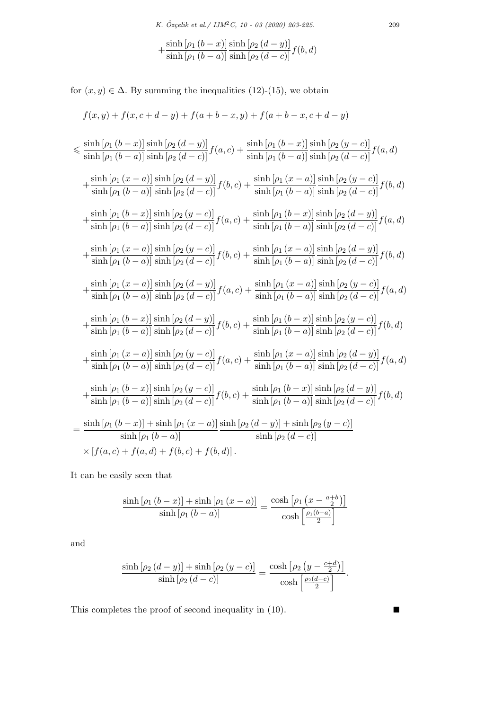$$
+\frac{\sinh\left[\rho_1\left(b-x\right)\right]}{\sinh\left[\rho_1\left(b-a\right)\right]} \frac{\sinh\left[\rho_2\left(d-y\right)\right]}{\sinh\left[\rho_2\left(d-c\right)\right]} f(b,d)
$$

for  $(x, y) \in \Delta$ *.* By summing the inequalities (12)-(15), we obtain

$$
f(x,y) + f(x, c + d - y) + f(a + b - x, y) + f(a + b - x, c + d - y)
$$

$$
\leq \frac{\sinh [(\rho_{1} (b - x)] \sinh [(\rho_{2} (d - y)]}{\sinh [(\rho_{1} (b - a)] \sinh [(\rho_{2} (d - c)]} f(a, c)) + \frac{\sinh [(\rho_{1} (b - x)] \sinh [(\rho_{2} (y - c)]}{\sinh [(\rho_{1} (b - a)] \sinh [(\rho_{2} (d - c)]} f(a, d))\n+ \frac{\sinh [(\rho_{1} (x - a)] \sinh [(\rho_{2} (d - y)]}{\sinh [(\rho_{2} (d - c)]} f(b, c)) + \frac{\sinh [(\rho_{1} (x - a)] \sinh [(\rho_{2} (y - c)]}{\sinh [(\rho_{1} (b - a)] \sinh [(\rho_{2} (d - c)]} f(b, d))\n+ \frac{\sinh [(\rho_{1} (b - x)] \sinh [(\rho_{2} (y - c)]}{\sinh [(\rho_{1} (b - a)] \sinh [(\rho_{2} (d - c)]} f(a, c)) + \frac{\sinh [(\rho_{1} (b - x)] \sinh [(\rho_{2} (d - y)]}{\sinh [(\rho_{2} (d - c)]} f(a, d))\n+ \frac{\sinh [(\rho_{1} (x - a)] \sinh [(\rho_{2} (y - c)]}{\sinh [(\rho_{1} (b - a)] \sinh [(\rho_{1} (b - a)]} \sinh [(\rho_{2} (d - y)]} f(b, d))\n+ \frac{\sinh [(\rho_{1} (x - a)] \sinh [(\rho_{2} (a - c)]}{\sinh [(\rho_{2} (d - c)]} f(b, c)) + \frac{\sinh [(\rho_{1} (x - a)] \sinh [(\rho_{2} (a - c)]}{\sinh [(\rho_{1} (b - a)]} \sinh [(\rho_{2} (a - c)]} f(b, d))\n+ \frac{\sinh [(\rho_{1} (b - a)] \sinh [(\rho_{2} (a - b)]}{\sinh [(\rho_{2} (a - c)]} f(b, c)) + \frac{\sinh [(\rho_{1} (b - a)] \sinh [(\rho_{2} (y - c)]}{\sinh [(\rho_{2} (b - c)]} f(a, d))\n+ \frac{\sinh [(\rho_{1} (b - a)] \sinh [(\rho_{2} (a - c)]}{\sinh [(\rho_{2} (a - c)]} f(b, c)) + \frac{\sinh [(\rho_{
$$

It can be easily seen that

$$
\frac{\sinh\left[\rho_1\left(b-x\right)\right] + \sinh\left[\rho_1\left(x-a\right)\right]}{\sinh\left[\rho_1\left(b-a\right)\right]} = \frac{\cosh\left[\rho_1\left(x-\frac{a+b}{2}\right)\right]}{\cosh\left[\frac{\rho_1\left(b-a\right)}{2}\right]}
$$

and

$$
\frac{\sinh\left[\rho_2\left(d-y\right)\right] + \sinh\left[\rho_2\left(y-c\right)\right]}{\sinh\left[\rho_2\left(d-c\right)\right]} = \frac{\cosh\left[\rho_2\left(y-\frac{c+d}{2}\right)\right]}{\cosh\left[\frac{\rho_2\left(d-c\right)}{2}\right]}.
$$

This completes the proof of second inequality in  $(10)$ .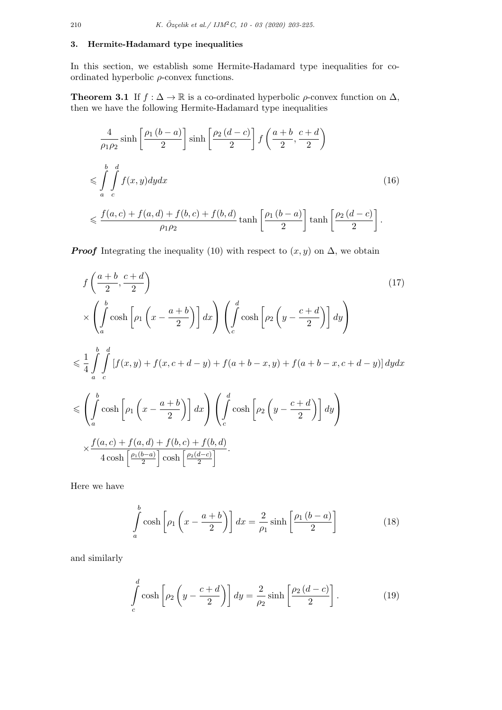## **3. Hermite-Hadamard type inequalities**

In this section, we establish some Hermite-Hadamard type inequalities for coordinated hyperbolic *ρ*-convex functions.

**Theorem 3.1** If  $f : \Delta \to \mathbb{R}$  is a co-ordinated hyperbolic  $\rho$ -convex function on  $\Delta$ , then we have the following Hermite-Hadamard type inequalities

$$
\frac{4}{\rho_1 \rho_2} \sinh\left[\frac{\rho_1 (b-a)}{2}\right] \sinh\left[\frac{\rho_2 (d-c)}{2}\right] f\left(\frac{a+b}{2}, \frac{c+d}{2}\right)
$$
\n
$$
\leqslant \int_a^b \int_a^d f(x, y) dy dx \tag{16}
$$
\n
$$
\leqslant \frac{f(a, c) + f(a, d) + f(b, c) + f(b, d)}{\rho_1 \rho_2} \tanh\left[\frac{\rho_1 (b-a)}{2}\right] \tanh\left[\frac{\rho_2 (d-c)}{2}\right].
$$

*Proof* Integrating the inequality (10) with respect to  $(x, y)$  on  $\Delta$ , we obtain

$$
f\left(\frac{a+b}{2}, \frac{c+d}{2}\right)
$$
\n
$$
\times \left(\int_{a}^{b} \cosh\left[\rho_1\left(x - \frac{a+b}{2}\right)\right] dx\right) \left(\int_{c}^{d} \cosh\left[\rho_2\left(y - \frac{c+d}{2}\right)\right] dy\right)
$$
\n
$$
\leq \frac{1}{4} \int_{a}^{b} \int_{c}^{d} \left[f(x, y) + f(x, c+d-y) + f(a+b-x, y) + f(a+b-x, c+d-y)\right] dy dx
$$
\n
$$
\leq \left(\int_{a}^{b} \cosh\left[\rho_1\left(x - \frac{a+b}{2}\right)\right] dx\right) \left(\int_{c}^{d} \cosh\left[\rho_2\left(y - \frac{c+d}{2}\right)\right] dy\right)
$$
\n
$$
\times \frac{f(a, c) + f(a, d) + f(b, c) + f(b, d)}{4 \cosh\left[\frac{\rho_1(b-a)}{2}\right] \cosh\left[\frac{\rho_2(d-c)}{2}\right]}
$$
\n(17)

Here we have

$$
\int_{a}^{b} \cosh\left[\rho_1\left(x - \frac{a+b}{2}\right)\right] dx = \frac{2}{\rho_1} \sinh\left[\frac{\rho_1\left(b-a\right)}{2}\right] \tag{18}
$$

and similarly

$$
\int_{c}^{d} \cosh\left[\rho_2\left(y - \frac{c + d}{2}\right)\right] dy = \frac{2}{\rho_2} \sinh\left[\frac{\rho_2\left(d - c\right)}{2}\right].\tag{19}
$$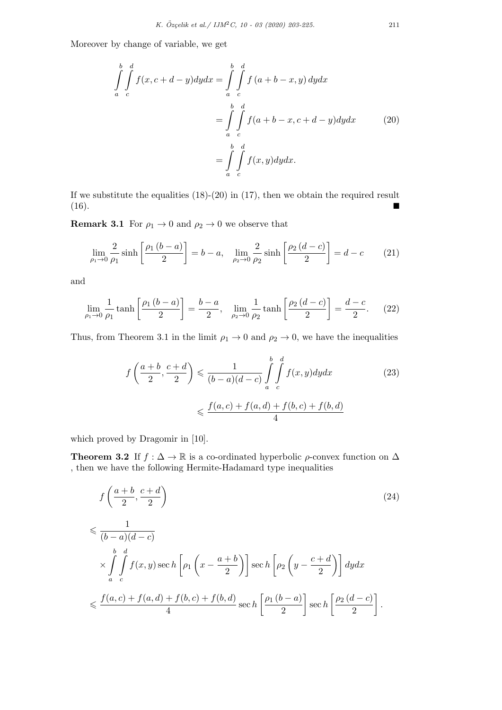Moreover by change of variable, we get

$$
\int_{a}^{b} \int_{c}^{d} f(x, c+d-y) dy dx = \int_{a}^{b} \int_{c}^{d} f(a+b-x, y) dy dx
$$

$$
= \int_{a}^{b} \int_{c}^{d} f(a+b-x, c+d-y) dy dx \qquad (20)
$$

$$
= \int_{a}^{b} \int_{c}^{d} f(x, y) dy dx.
$$

If we substitute the equalities  $(18)-(20)$  in  $(17)$ , then we obtain the required result  $(16).$ 

**Remark 3.1** For  $\rho_1 \rightarrow 0$  and  $\rho_2 \rightarrow 0$  we observe that

$$
\lim_{\rho_1 \to 0} \frac{2}{\rho_1} \sinh \left[ \frac{\rho_1 (b-a)}{2} \right] = b - a, \quad \lim_{\rho_2 \to 0} \frac{2}{\rho_2} \sinh \left[ \frac{\rho_2 (d-c)}{2} \right] = d - c \tag{21}
$$

and

$$
\lim_{\rho_1 \to 0} \frac{1}{\rho_1} \tanh\left[\frac{\rho_1 (b-a)}{2}\right] = \frac{b-a}{2}, \quad \lim_{\rho_2 \to 0} \frac{1}{\rho_2} \tanh\left[\frac{\rho_2 (d-c)}{2}\right] = \frac{d-c}{2}.
$$
 (22)

Thus, from Theorem 3.1 in the limit  $\rho_1 \rightarrow 0$  and  $\rho_2 \rightarrow 0$ , we have the inequalities

$$
f\left(\frac{a+b}{2}, \frac{c+d}{2}\right) \leq \frac{1}{(b-a)(d-c)} \int_{a}^{b} \int_{c}^{d} f(x, y) dy dx \tag{23}
$$

$$
\leq \frac{f(a, c) + f(a, d) + f(b, c) + f(b, d)}{4}
$$

which proved by Dragomir in [10].

**Theorem 3.2** If  $f : \Delta \to \mathbb{R}$  is a co-ordinated hyperbolic  $\rho$ -convex function on  $\Delta$ , then we have the following Hermite-Hadamard type inequalities

$$
f\left(\frac{a+b}{2}, \frac{c+d}{2}\right)
$$
\n
$$
\leqslant \frac{1}{(b-a)(d-c)}
$$
\n
$$
\times \int_{a}^{b} \int_{c}^{d} f(x, y) \sec h\left[\rho_1\left(x - \frac{a+b}{2}\right)\right] \sec h\left[\rho_2\left(y - \frac{c+d}{2}\right)\right] dy dx
$$
\n
$$
\leqslant \frac{f(a, c) + f(a, d) + f(b, c) + f(b, d)}{4} \sec h\left[\frac{\rho_1(b-a)}{2}\right] \sec h\left[\frac{\rho_2(d-c)}{2}\right].
$$
\n(24)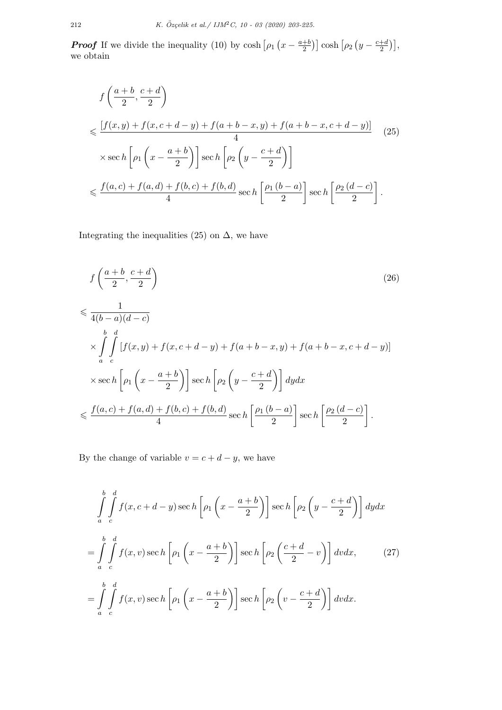*Proof* If we divide the inequality (10) by cosh  $\left[\rho_1\left(x - \frac{a+b}{2}\right)\right]$  $\left[\frac{+b}{2}\right]$  cosh  $\left[\rho_2\left(y - \frac{c+d}{2}\right)\right]$  $\frac{+d}{2}\big)\big],$ we obtain

$$
f\left(\frac{a+b}{2}, \frac{c+d}{2}\right)
$$
  
\$\leqslant \frac{[f(x,y)+f(x,c+d-y)+f(a+b-x,y)+f(a+b-x,c+d-y)]}{4}\$ (25)  
\$\times \sec h \left[\rho\_1\left(x-\frac{a+b}{2}\right)\right] \sec h \left[\rho\_2\left(y-\frac{c+d}{2}\right)\right]\$  
\$\leqslant \frac{f(a,c)+f(a,d)+f(b,c)+f(b,d)}{4} \sec h \left[\frac{\rho\_1(b-a)}{2}\right] \sec h \left[\frac{\rho\_2(d-c)}{2}\right].

Integrating the inequalities (25) on  $\Delta$ , we have

$$
f\left(\frac{a+b}{2}, \frac{c+d}{2}\right)
$$
\n
$$
\leqslant \frac{1}{4(b-a)(d-c)}
$$
\n
$$
\times \int_{a}^{b} \int_{c}^{d} \left[ f(x,y) + f(x,c+d-y) + f(a+b-x,y) + f(a+b-x,c+d-y) \right]
$$
\n
$$
\times \operatorname{sec} h \left[ \rho_1 \left( x - \frac{a+b}{2} \right) \right] \operatorname{sec} h \left[ \rho_2 \left( y - \frac{c+d}{2} \right) \right] dy dx
$$
\n
$$
\leqslant \frac{f(a,c) + f(a,d) + f(b,c) + f(b,d)}{4} \operatorname{sec} h \left[ \frac{\rho_1 \left( b-a \right)}{2} \right] \operatorname{sec} h \left[ \frac{\rho_2 \left( d-c \right)}{2} \right].
$$
\n(26)

By the change of variable  $v = c + d - y$ , we have

$$
\int_{a}^{b} \int_{c}^{d} f(x, c+d-y) \sec h \left[ \rho_1 \left( x - \frac{a+b}{2} \right) \right] \sec h \left[ \rho_2 \left( y - \frac{c+d}{2} \right) \right] dy dx
$$
  

$$
= \int_{a}^{b} \int_{c}^{d} f(x, v) \sec h \left[ \rho_1 \left( x - \frac{a+b}{2} \right) \right] \sec h \left[ \rho_2 \left( \frac{c+d}{2} - v \right) \right] dv dx, \qquad (27)
$$
  

$$
= \int_{a}^{b} \int_{c}^{d} f(x, v) \sec h \left[ \rho_1 \left( x - \frac{a+b}{2} \right) \right] \sec h \left[ \rho_2 \left( v - \frac{c+d}{2} \right) \right] dv dx.
$$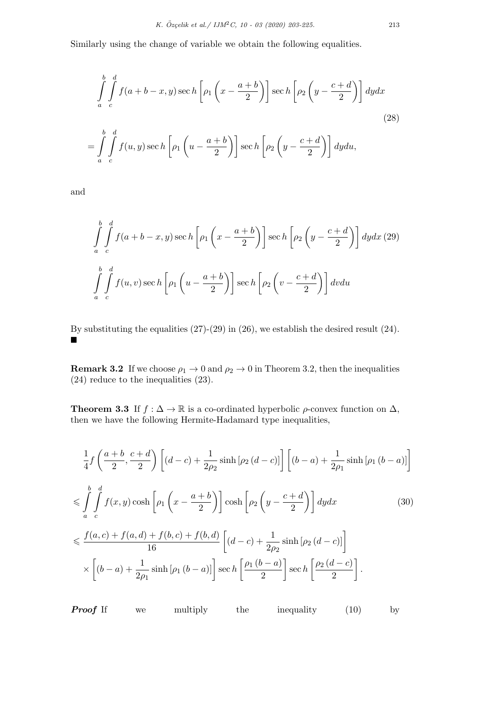Similarly using the change of variable we obtain the following equalities.

$$
\int_{a}^{b} \int_{c}^{d} f(a+b-x, y) \sec h \left[ \rho_1 \left( x - \frac{a+b}{2} \right) \right] \sec h \left[ \rho_2 \left( y - \frac{c+d}{2} \right) \right] dy dx
$$
\n
$$
= \int_{a}^{b} \int_{c}^{d} f(u, y) \sec h \left[ \rho_1 \left( u - \frac{a+b}{2} \right) \right] \sec h \left[ \rho_2 \left( y - \frac{c+d}{2} \right) \right] dy du,
$$
\n(28)

and

$$
\int_{a}^{b} \int_{c}^{d} f(a+b-x, y) \sec h\left[\rho_1\left(x - \frac{a+b}{2}\right)\right] \sec h\left[\rho_2\left(y - \frac{c+d}{2}\right)\right] dy dx (29)
$$
\n
$$
\int_{a}^{b} \int_{c}^{d} f(u, v) \sec h\left[\rho_1\left(u - \frac{a+b}{2}\right)\right] \sec h\left[\rho_2\left(v - \frac{c+d}{2}\right)\right] dv du
$$

By substituting the equalities (27)-(29) in (26), we establish the desired result (24). ■

**Remark 3.2** If we choose  $\rho_1 \rightarrow 0$  and  $\rho_2 \rightarrow 0$  in Theorem 3.2, then the inequalities (24) reduce to the inequalities (23).

**Theorem 3.3** If  $f : \Delta \to \mathbb{R}$  is a co-ordinated hyperbolic  $\rho$ -convex function on  $\Delta$ , then we have the following Hermite-Hadamard type inequalities,

$$
\frac{1}{4}f\left(\frac{a+b}{2},\frac{c+d}{2}\right)\left[(d-c)+\frac{1}{2\rho_2}\sinh\left[\rho_2\left(d-c\right)\right]\right]\left[(b-a)+\frac{1}{2\rho_1}\sinh\left[\rho_1\left(b-a\right)\right]\right]
$$
\n
$$
\leqslant \int_{a}^{b} \int_{c}^{d} f(x,y)\cosh\left[\rho_1\left(x-\frac{a+b}{2}\right)\right]\cosh\left[\rho_2\left(y-\frac{c+d}{2}\right)\right]dydx\tag{30}
$$
\n
$$
\leqslant \frac{f(a,c)+f(a,d)+f(b,c)+f(b,d)}{16}\left[(d-c)+\frac{1}{2\rho_2}\sinh\left[\rho_2\left(d-c\right)\right]\right]
$$
\n
$$
\times\left[(b-a)+\frac{1}{2\rho_1}\sinh\left[\rho_1\left(b-a\right)\right]\right]\sec h\left[\frac{\rho_1\left(b-a\right)}{2}\right]\sec h\left[\frac{\rho_2\left(d-c\right)}{2}\right].
$$

*Proof* If we multiply the inequality (10) by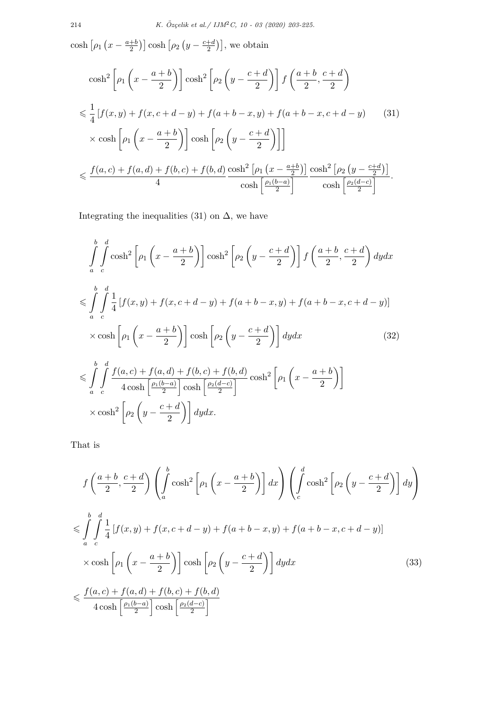$\cosh\left[\rho_1\left(x-\frac{a+b}{2}\right)\right]$  $\left[\rho_2\left(y - \frac{c+d}{2}\right)\right]$  cosh  $\left[\rho_2\left(y - \frac{c+d}{2}\right)\right]$  $\left(\frac{+d}{2}\right)\right],$  we obtain

$$
\cosh^2\left[\rho_1\left(x-\frac{a+b}{2}\right)\right]\cosh^2\left[\rho_2\left(y-\frac{c+d}{2}\right)\right]f\left(\frac{a+b}{2},\frac{c+d}{2}\right)
$$
  

$$
\leq \frac{1}{4}\left[f(x,y)+f(x,c+d-y)+f(a+b-x,y)+f(a+b-x,c+d-y)\right] \tag{31}
$$
  

$$
\times \cosh\left[\rho_1\left(x-\frac{a+b}{2}\right)\right]\cosh\left[\rho_2\left(y-\frac{c+d}{2}\right)\right]\right]
$$
  

$$
\leq \frac{f(a,c)+f(a,d)+f(b,c)+f(b,d)}{4}\frac{\cosh^2\left[\rho_1\left(x-\frac{a+b}{2}\right)\right]}{\cosh\left[\frac{\rho_1(b-a)}{2}\right]}\frac{\cosh^2\left[\rho_2\left(y-\frac{c+d}{2}\right)\right]}{\cosh\left[\frac{\rho_2(d-c)}{2}\right]}.
$$

Integrating the inequalities (31) on  $\Delta$ , we have

$$
\int_{a}^{b} \int_{c}^{d} \cosh^{2} \left[ \rho_{1} \left( x - \frac{a+b}{2} \right) \right] \cosh^{2} \left[ \rho_{2} \left( y - \frac{c+d}{2} \right) \right] f \left( \frac{a+b}{2}, \frac{c+d}{2} \right) dy dx
$$
\n
$$
\leq \int_{a}^{b} \int_{c}^{d} \frac{1}{4} \left[ f(x, y) + f(x, c+d-y) + f(a+b-x, y) + f(a+b-x, c+d-y) \right]
$$
\n
$$
\times \cosh \left[ \rho_{1} \left( x - \frac{a+b}{2} \right) \right] \cosh \left[ \rho_{2} \left( y - \frac{c+d}{2} \right) \right] dy dx \tag{32}
$$
\n
$$
\leq \int_{a}^{b} \int_{c}^{d} \frac{f(a, c) + f(a, d) + f(b, c) + f(b, d)}{4 \cosh \left[ \frac{\rho_{1}(b-a)}{2} \right] \cosh \left[ \frac{\rho_{2}(d-c)}{2} \right]} \cosh^{2} \left[ \rho_{1} \left( x - \frac{a+b}{2} \right) \right]
$$
\n
$$
\times \cosh^{2} \left[ \rho_{2} \left( y - \frac{c+d}{2} \right) \right] dy dx.
$$

That is

$$
f\left(\frac{a+b}{2}, \frac{c+d}{2}\right) \left(\int_a^b \cosh^2\left[\rho_1\left(x - \frac{a+b}{2}\right)\right] dx\right) \left(\int_c^d \cosh^2\left[\rho_2\left(y - \frac{c+d}{2}\right)\right] dy\right)
$$
  

$$
\leq \int_a^b \int_a^d \frac{1}{4} \left[f(x, y) + f(x, c+d-y) + f(a+b-x, y) + f(a+b-x, c+d-y)\right]
$$
  

$$
\times \cosh\left[\rho_1\left(x - \frac{a+b}{2}\right)\right] \cosh\left[\rho_2\left(y - \frac{c+d}{2}\right)\right] dy dx
$$
  

$$
\leq \frac{f(a, c) + f(a, d) + f(b, c) + f(b, d)}{4 \cosh\left[\frac{\rho_1(b-a)}{2}\right] \cosh\left[\frac{\rho_2(d-c)}{2}\right]}
$$
 (33)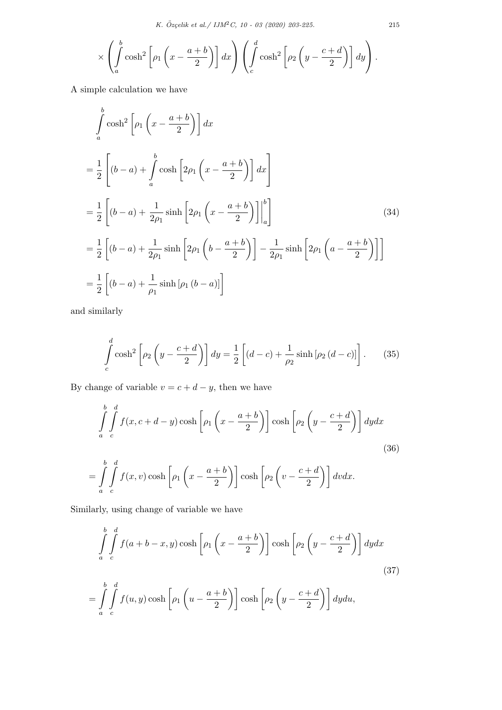$$
\times \left( \int_a^b \cosh^2 \left[ \rho_1 \left( x - \frac{a+b}{2} \right) \right] dx \right) \left( \int_c^d \cosh^2 \left[ \rho_2 \left( y - \frac{c+d}{2} \right) \right] dy \right).
$$

A simple calculation we have

$$
\int_{a}^{b} \cosh^{2}\left[\rho_{1}\left(x-\frac{a+b}{2}\right)\right] dx
$$
\n
$$
=\frac{1}{2}\left[\left(b-a\right)+\int_{a}^{b} \cosh\left[2\rho_{1}\left(x-\frac{a+b}{2}\right)\right] dx\right]
$$
\n
$$
=\frac{1}{2}\left[\left(b-a\right)+\frac{1}{2\rho_{1}}\sinh\left[2\rho_{1}\left(x-\frac{a+b}{2}\right)\right]\Big|_{a}^{b}\right]
$$
\n
$$
=\frac{1}{2}\left[\left(b-a\right)+\frac{1}{2\rho_{1}}\sinh\left[2\rho_{1}\left(b-\frac{a+b}{2}\right)\right]-\frac{1}{2\rho_{1}}\sinh\left[2\rho_{1}\left(a-\frac{a+b}{2}\right)\right]\right]
$$
\n
$$
=\frac{1}{2}\left[\left(b-a\right)+\frac{1}{\rho_{1}}\sinh\left[\rho_{1}\left(b-a\right)\right]\right]
$$
\n(34)

and similarly

$$
\int_{c}^{d} \cosh^{2}\left[\rho_{2}\left(y-\frac{c+d}{2}\right)\right] dy = \frac{1}{2}\left[(d-c) + \frac{1}{\rho_{2}}\sinh\left[\rho_{2}\left(d-c\right)\right]\right].
$$
 (35)

By change of variable  $v = c + d - y$ , then we have

$$
\int_{a}^{b} \int_{c}^{d} f(x, c + d - y) \cosh\left[\rho_1 \left(x - \frac{a + b}{2}\right)\right] \cosh\left[\rho_2 \left(y - \frac{c + d}{2}\right)\right] dy dx
$$
\n(36)\n
$$
= \int_{a}^{b} \int_{c}^{d} f(x, v) \cosh\left[\rho_1 \left(x - \frac{a + b}{2}\right)\right] \cosh\left[\rho_2 \left(v - \frac{c + d}{2}\right)\right] dv dx.
$$

Similarly, using change of variable we have

$$
\int_{a}^{b} \int_{c}^{d} f(a+b-x,y) \cosh\left[\rho_1\left(x-\frac{a+b}{2}\right)\right] \cosh\left[\rho_2\left(y-\frac{c+d}{2}\right)\right] dy dx
$$
\n(37)\n
$$
= \int_{a}^{b} \int_{c}^{d} f(u,y) \cosh\left[\rho_1\left(u-\frac{a+b}{2}\right)\right] \cosh\left[\rho_2\left(y-\frac{c+d}{2}\right)\right] dy du,
$$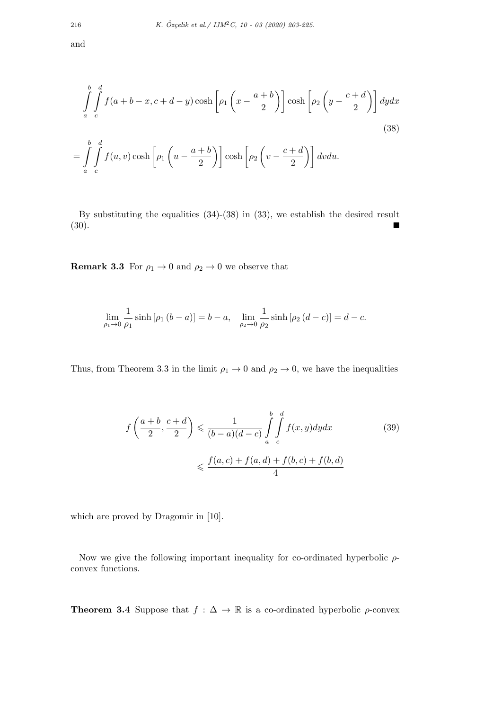and

$$
\int_{a}^{b} \int_{c}^{d} f(a+b-x, c+d-y) \cosh\left[\rho_1\left(x-\frac{a+b}{2}\right)\right] \cosh\left[\rho_2\left(y-\frac{c+d}{2}\right)\right] dy dx
$$
\n
$$
= \int_{a}^{b} \int_{c}^{d} f(u,v) \cosh\left[\rho_1\left(u-\frac{a+b}{2}\right)\right] \cosh\left[\rho_2\left(v-\frac{c+d}{2}\right)\right] dv du.
$$
\n(38)

By substituting the equalities (34)-(38) in (33), we establish the desired result  $(30).$ 

**Remark 3.3** For  $\rho_1 \rightarrow 0$  and  $\rho_2 \rightarrow 0$  we observe that

$$
\lim_{\rho_1 \to 0} \frac{1}{\rho_1} \sinh [\rho_1 (b-a)] = b-a, \quad \lim_{\rho_2 \to 0} \frac{1}{\rho_2} \sinh [\rho_2 (d-c)] = d-c.
$$

Thus, from Theorem 3.3 in the limit  $\rho_1 \rightarrow 0$  and  $\rho_2 \rightarrow 0$ , we have the inequalities

$$
f\left(\frac{a+b}{2}, \frac{c+d}{2}\right) \leq \frac{1}{(b-a)(d-c)} \int_{a}^{b} \int_{c}^{d} f(x, y) dy dx \tag{39}
$$

$$
\leq \frac{f(a, c) + f(a, d) + f(b, c) + f(b, d)}{4}
$$

which are proved by Dragomir in [10].

Now we give the following important inequality for co-ordinated hyperbolic *ρ*convex functions.

**Theorem 3.4** Suppose that  $f : \Delta \to \mathbb{R}$  is a co-ordinated hyperbolic  $\rho$ -convex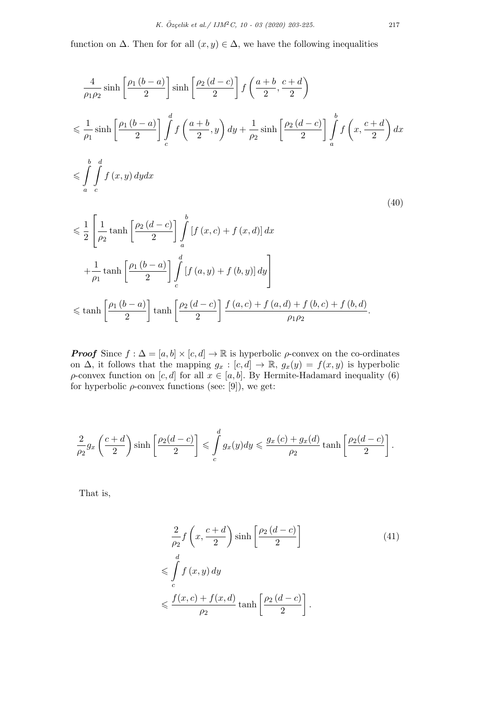function on  $\Delta$ . Then for for all  $(x, y) \in \Delta$ , we have the following inequalities

$$
\frac{4}{\rho_1 \rho_2} \sinh\left[\frac{\rho_1 (b-a)}{2}\right] \sinh\left[\frac{\rho_2 (d-c)}{2}\right] f\left(\frac{a+b}{2}, \frac{c+d}{2}\right)
$$
\n
$$
\leqslant \frac{1}{\rho_1} \sinh\left[\frac{\rho_1 (b-a)}{2}\right] \int_c^d f\left(\frac{a+b}{2}, y\right) dy + \frac{1}{\rho_2} \sinh\left[\frac{\rho_2 (d-c)}{2}\right] \int_a^b f\left(x, \frac{c+d}{2}\right) dx
$$
\n
$$
\leqslant \int_a^b \int_c^d f(x, y) dy dx
$$
\n
$$
\leqslant \frac{1}{a} \left[ \frac{1}{2} \tanh\left[\frac{\rho_2 (d-c)}{2}\right] \int_c^b [f(x, c) + f(x, d)] dx \right]
$$
\n(40)

$$
\leq \frac{1}{2} \left[ \frac{1}{\rho_2} \tanh\left[\frac{\rho_2(d-c)}{2}\right] \int_a \left[ f(x,c) + f(x,d) \right] dx \right]
$$
  
+ 
$$
\frac{1}{\rho_1} \tanh\left[\frac{\rho_1(b-a)}{2}\right] \int_c^d \left[ f(a,y) + f(b,y) \right] dy
$$
  

$$
\leq \tanh\left[\frac{\rho_1(b-a)}{2}\right] \tanh\left[\frac{\rho_2(d-c)}{2}\right] \frac{f(a,c) + f(a,d) + f(b,c) + f(b,d)}{\rho_1 \rho_2}.
$$

*Proof* Since  $f : \Delta = [a, b] \times [c, d] \rightarrow \mathbb{R}$  is hyperbolic *ρ*-convex on the co-ordinates on  $\Delta$ , it follows that the mapping  $g_x : [c, d] \to \mathbb{R}$ ,  $g_x(y) = f(x, y)$  is hyperbolic *ρ*-convex function on [*c, d*] for all  $x \in [a, b]$ . By Hermite-Hadamard inequality (6) for hyperbolic  $\rho$ -convex functions (see: [9]), we get:

$$
\frac{2}{\rho_2} g_x\left(\frac{c+d}{2}\right) \sinh\left[\frac{\rho_2(d-c)}{2}\right] \leqslant \int\limits_c^d g_x(y) dy \leqslant \frac{g_x(c)+g_x(d)}{\rho_2} \tanh\left[\frac{\rho_2(d-c)}{2}\right].
$$

That is,

$$
\frac{2}{\rho_2} f\left(x, \frac{c+d}{2}\right) \sinh\left[\frac{\rho_2(d-c)}{2}\right]
$$
\n
$$
\leqslant \int_c^d f(x, y) dy
$$
\n
$$
\leqslant \frac{f(x, c) + f(x, d)}{\rho_2} \tanh\left[\frac{\rho_2(d-c)}{2}\right].
$$
\n(41)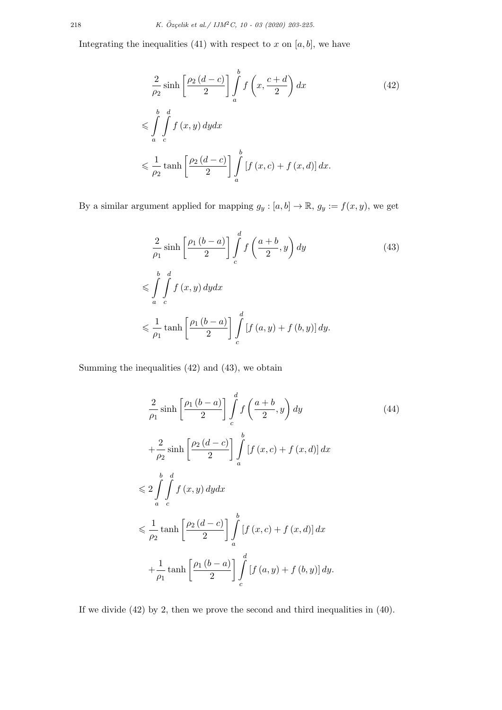Integrating the inequalities  $(41)$  with respect to  $x$  on  $[a, b]$ , we have

$$
\frac{2}{\rho_2} \sinh\left[\frac{\rho_2(d-c)}{2}\right] \int_a^b f\left(x, \frac{c+d}{2}\right) dx
$$
\n
$$
\leqslant \int_a^b \int_c^d f(x, y) dy dx
$$
\n
$$
\leqslant \frac{1}{\rho_2} \tanh\left[\frac{\rho_2(d-c)}{2}\right] \int_a^b \left[f(x, c) + f(x, d)\right] dx.
$$
\n(42)

By a similar argument applied for mapping  $g_y : [a, b] \to \mathbb{R}$ ,  $g_y := f(x, y)$ , we get

$$
\frac{2}{\rho_1} \sinh\left[\frac{\rho_1 (b-a)}{2}\right] \int_c^d f\left(\frac{a+b}{2}, y\right) dy
$$
\n
$$
\leqslant \int_a^b \int_c^d f(x, y) dy dx
$$
\n
$$
\leqslant \frac{1}{\rho_1} \tanh\left[\frac{\rho_1 (b-a)}{2}\right] \int_c^d \left[f(a, y) + f(b, y)\right] dy.
$$
\n(43)

Summing the inequalities (42) and (43), we obtain

$$
\frac{2}{\rho_1} \sinh\left[\frac{\rho_1 (b-a)}{2}\right] \int_c^d f\left(\frac{a+b}{2}, y\right) dy
$$
\n
$$
+\frac{2}{\rho_2} \sinh\left[\frac{\rho_2 (d-c)}{2}\right] \int_a^b \left[f(x, c) + f(x, d)\right] dx
$$
\n
$$
\leq 2 \int_a^b \int_c^d f(x, y) dy dx
$$
\n
$$
\leq \frac{1}{\rho_2} \tanh\left[\frac{\rho_2 (d-c)}{2}\right] \int_a^b \left[f(x, c) + f(x, d)\right] dx
$$
\n
$$
+\frac{1}{\rho_1} \tanh\left[\frac{\rho_1 (b-a)}{2}\right] \int_c^d \left[f(a, y) + f(b, y)\right] dy.
$$
\n(44)

If we divide  $(42)$  by 2, then we prove the second and third inequalities in  $(40)$ .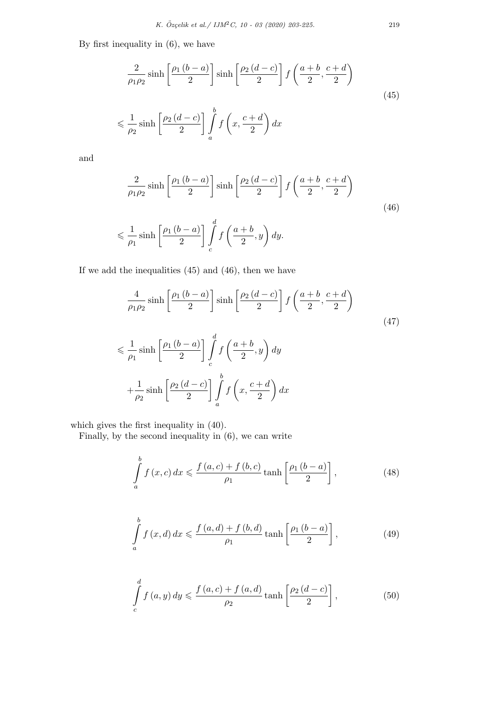By first inequality in (6), we have

$$
\frac{2}{\rho_1 \rho_2} \sinh\left[\frac{\rho_1 (b-a)}{2}\right] \sinh\left[\frac{\rho_2 (d-c)}{2}\right] f\left(\frac{a+b}{2}, \frac{c+d}{2}\right)
$$
  

$$
\leq \frac{1}{\rho_2} \sinh\left[\frac{\rho_2 (d-c)}{2}\right] \int_a^b f\left(x, \frac{c+d}{2}\right) dx
$$
 (45)

and

$$
\frac{2}{\rho_1 \rho_2} \sinh\left[\frac{\rho_1 (b-a)}{2}\right] \sinh\left[\frac{\rho_2 (d-c)}{2}\right] f\left(\frac{a+b}{2}, \frac{c+d}{2}\right)
$$
\n
$$
\leq \frac{1}{\rho_1} \sinh\left[\frac{\rho_1 (b-a)}{2}\right] \int_c^d f\left(\frac{a+b}{2}, y\right) dy. \tag{46}
$$

If we add the inequalities (45) and (46), then we have

$$
\frac{4}{\rho_1 \rho_2} \sinh\left[\frac{\rho_1 (b-a)}{2}\right] \sinh\left[\frac{\rho_2 (d-c)}{2}\right] f\left(\frac{a+b}{2}, \frac{c+d}{2}\right)
$$
\n
$$
\leq \frac{1}{\rho_1} \sinh\left[\frac{\rho_1 (b-a)}{2}\right] \int_c^d f\left(\frac{a+b}{2}, y\right) dy
$$
\n
$$
+\frac{1}{\rho_2} \sinh\left[\frac{\rho_2 (d-c)}{2}\right] \int_a^b f\left(x, \frac{c+d}{2}\right) dx
$$
\n(47)

which gives the first inequality in (40).

Finally, by the second inequality in (6), we can write

$$
\int_{a}^{b} f(x, c) dx \leq \frac{f(a, c) + f(b, c)}{\rho_1} \tanh\left[\frac{\rho_1(b-a)}{2}\right],
$$
\n(48)

$$
\int_{a}^{b} f(x, d) dx \leq \frac{f(a, d) + f(b, d)}{\rho_1} \tanh\left[\frac{\rho_1 (b-a)}{2}\right],
$$
\n(49)

$$
\int_{c}^{d} f\left(a, y\right) dy \leqslant \frac{f\left(a, c\right) + f\left(a, d\right)}{\rho_2} \tanh\left[\frac{\rho_2\left(d - c\right)}{2}\right],\tag{50}
$$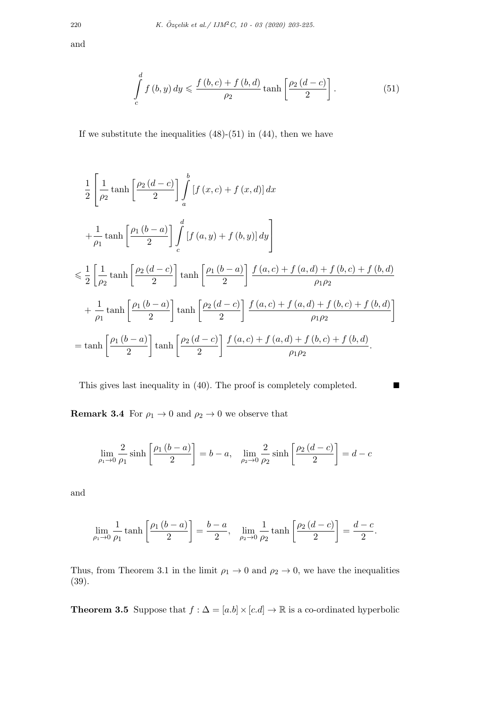and

$$
\int_{c}^{d} f\left(b, y\right) dy \leqslant \frac{f\left(b, c\right) + f\left(b, d\right)}{\rho_2} \tanh\left[\frac{\rho_2\left(d - c\right)}{2}\right].\tag{51}
$$

If we substitute the inequalities  $(48)-(51)$  in  $(44)$ , then we have

$$
\frac{1}{2} \left[ \frac{1}{\rho_2} \tanh\left[\frac{\rho_2(d-c)}{2}\right] \int_a^b \left[f(x,c) + f(x,d)\right] dx \right]
$$
\n
$$
+ \frac{1}{\rho_1} \tanh\left[\frac{\rho_1(b-a)}{2}\right] \int_c^d \left[f(a,y) + f(b,y)\right] dy \right]
$$
\n
$$
\leq \frac{1}{2} \left[ \frac{1}{\rho_2} \tanh\left[\frac{\rho_2(d-c)}{2}\right] \tanh\left[\frac{\rho_1(b-a)}{2}\right] \frac{f(a,c) + f(a,d) + f(b,c) + f(b,d)}{\rho_1 \rho_2} + \frac{1}{\rho_1} \tanh\left[\frac{\rho_1(b-a)}{2}\right] \tanh\left[\frac{\rho_2(d-c)}{2}\right] \frac{f(a,c) + f(a,d) + f(b,c) + f(b,d)}{\rho_1 \rho_2} \right]
$$
\n
$$
= \tanh\left[\frac{\rho_1(b-a)}{2}\right] \tanh\left[\frac{\rho_2(d-c)}{2}\right] \frac{f(a,c) + f(a,d) + f(b,c) + f(b,d)}{\rho_1 \rho_2}.
$$

This gives last inequality in  $(40)$ . The proof is completely completed.

**Remark 3.4** For  $\rho_1 \rightarrow 0$  and  $\rho_2 \rightarrow 0$  we observe that

$$
\lim_{\rho_1 \to 0} \frac{2}{\rho_1} \sinh\left[\frac{\rho_1 (b-a)}{2}\right] = b-a, \quad \lim_{\rho_2 \to 0} \frac{2}{\rho_2} \sinh\left[\frac{\rho_2 (d-c)}{2}\right] = d-c
$$

and

$$
\lim_{\rho_1 \to 0} \frac{1}{\rho_1} \tanh\left[\frac{\rho_1 (b-a)}{2}\right] = \frac{b-a}{2}, \quad \lim_{\rho_2 \to 0} \frac{1}{\rho_2} \tanh\left[\frac{\rho_2 (d-c)}{2}\right] = \frac{d-c}{2}.
$$

Thus, from Theorem 3.1 in the limit  $\rho_1 \rightarrow 0$  and  $\rho_2 \rightarrow 0$ , we have the inequalities (39).

**Theorem 3.5** Suppose that  $f : \Delta = [a.b] \times [c.d] \rightarrow \mathbb{R}$  is a co-ordinated hyperbolic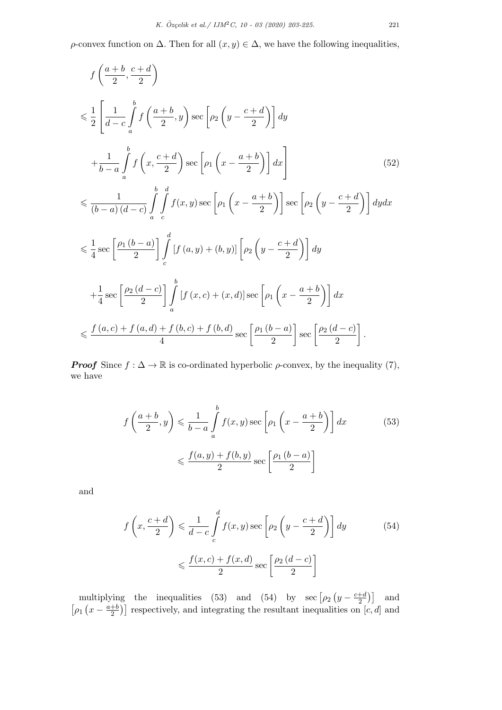*ρ*-convex function on  $\Delta$ . Then for all  $(x, y) \in \Delta$ , we have the following inequalities,

$$
f\left(\frac{a+b}{2}, \frac{c+d}{2}\right)
$$
  
\n
$$
\leq \frac{1}{2} \left[ \frac{1}{d-c} \int_{a}^{b} f\left(\frac{a+b}{2}, y\right) \sec\left[\rho_2\left(y - \frac{c+d}{2}\right)\right] dy + \frac{1}{b-a} \int_{a}^{b} f\left(x, \frac{c+d}{2}\right) \sec\left[\rho_1\left(x - \frac{a+b}{2}\right)\right] dx \right]
$$
  
\n
$$
\leq \frac{1}{(b-a)(d-c)} \int_{a}^{b} \int_{c}^{d} f(x, y) \sec\left[\rho_1\left(x - \frac{a+b}{2}\right)\right] \sec\left[\rho_2\left(y - \frac{c+d}{2}\right)\right] dy dx
$$
  
\n
$$
\leq \frac{1}{4} \sec\left[\frac{\rho_1(b-a)}{2}\right] \int_{c}^{d} \left[f(a, y) + (b, y)\right] \left[\rho_2\left(y - \frac{c+d}{2}\right)\right] dy + \frac{1}{4} \sec\left[\frac{\rho_2(d-c)}{2}\right] \int_{a}^{b} \left[f(x, c) + (x, d)\right] \sec\left[\rho_1\left(x - \frac{a+b}{2}\right)\right] dx
$$
  
\n
$$
\leq \frac{f(a, c) + f(a, d) + f(b, c) + f(b, d)}{4} \sec\left[\frac{\rho_1(b-a)}{2}\right] \sec\left[\frac{\rho_2(d-c)}{2}\right].
$$
 (11)

*Proof* Since  $f : \Delta \to \mathbb{R}$  is co-ordinated hyperbolic  $\rho$ -convex, by the inequality (7), we have

$$
f\left(\frac{a+b}{2},y\right) \leq \frac{1}{b-a} \int_{a}^{b} f(x,y) \sec\left[\rho_1\left(x - \frac{a+b}{2}\right)\right] dx \tag{53}
$$

$$
\leq \frac{f(a,y) + f(b,y)}{2} \sec\left[\frac{\rho_1\left(b-a\right)}{2}\right]
$$

and

$$
f\left(x, \frac{c+d}{2}\right) \leq \frac{1}{d-c} \int_{c}^{d} f(x, y) \sec\left[\rho_2\left(y - \frac{c+d}{2}\right)\right] dy \tag{54}
$$

$$
\leq \frac{f(x, c) + f(x, d)}{2} \sec\left[\frac{\rho_2\left(d-c\right)}{2}\right]
$$

multiplying the inequalities (53) and (54) by sec  $[\rho_2 (y - \frac{c+d}{2})]$  $\left[\frac{+d}{2}\right]$  and  $\left[\rho_1\left(x-\frac{a+b}{2}\right)\right]$  $\left(\frac{1+b}{2}\right)$  respectively, and integrating the resultant inequalities on  $[c, d]$  and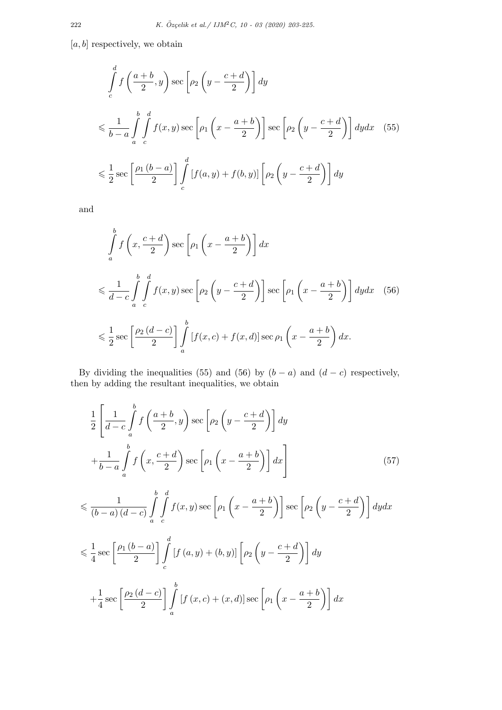[*a, b*] respectively, we obtain

$$
\int_{c}^{d} f\left(\frac{a+b}{2}, y\right) \sec\left[\rho_2\left(y - \frac{c+d}{2}\right)\right] dy
$$
\n
$$
\leq \frac{1}{b-a} \int_{a}^{b} \int_{c}^{d} f(x, y) \sec\left[\rho_1\left(x - \frac{a+b}{2}\right)\right] \sec\left[\rho_2\left(y - \frac{c+d}{2}\right)\right] dy dx \quad (55)
$$
\n
$$
\leq \frac{1}{2} \sec\left[\frac{\rho_1\left(b-a\right)}{2}\right] \int_{c}^{d} \left[f(a, y) + f(b, y)\right] \left[\rho_2\left(y - \frac{c+d}{2}\right)\right] dy
$$

and

$$
\int_{a}^{b} f\left(x, \frac{c+d}{2}\right) \sec\left[\rho_1\left(x - \frac{a+b}{2}\right)\right] dx
$$
\n
$$
\leq \frac{1}{d-c} \int_{a}^{b} \int_{c}^{d} f(x, y) \sec\left[\rho_2\left(y - \frac{c+d}{2}\right)\right] \sec\left[\rho_1\left(x - \frac{a+b}{2}\right)\right] dy dx \quad (56)
$$
\n
$$
\leq \frac{1}{2} \sec\left[\frac{\rho_2\left(d-c\right)}{2}\right] \int_{a}^{b} \left[f(x, c) + f(x, d)\right] \sec\rho_1\left(x - \frac{a+b}{2}\right) dx.
$$

By dividing the inequalities (55) and (56) by  $(b - a)$  and  $(d - c)$  respectively, then by adding the resultant inequalities, we obtain

$$
\frac{1}{2} \left[ \frac{1}{d-c} \int_{a}^{b} f\left(\frac{a+b}{2}, y\right) \sec\left[\rho_2\left(y - \frac{c+d}{2}\right)\right] dy
$$
\n
$$
+ \frac{1}{b-a} \int_{a}^{b} f\left(x, \frac{c+d}{2}\right) \sec\left[\rho_1\left(x - \frac{a+b}{2}\right)\right] dx \right]
$$
\n
$$
\leq \frac{1}{(b-a)(d-c)} \int_{a}^{b} \int_{c}^{d} f(x, y) \sec\left[\rho_1\left(x - \frac{a+b}{2}\right)\right] \sec\left[\rho_2\left(y - \frac{c+d}{2}\right)\right] dy dx
$$
\n
$$
\leq \frac{1}{4} \sec\left[\frac{\rho_1(b-a)}{2}\right] \int_{c}^{d} \left[f(a, y) + (b, y)\right] \left[\rho_2\left(y - \frac{c+d}{2}\right)\right] dy
$$
\n
$$
+ \frac{1}{4} \sec\left[\frac{\rho_2(d-c)}{2}\right] \int_{a}^{b} \left[f(x, c) + (x, d)\right] \sec\left[\rho_1\left(x - \frac{a+b}{2}\right)\right] dx
$$
\n(57)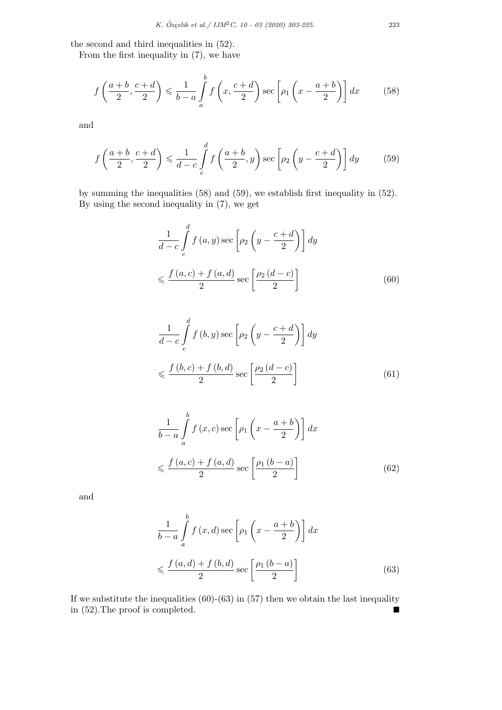the second and third inequalities in (52).

From the first inequality in (7), we have

$$
f\left(\frac{a+b}{2}, \frac{c+d}{2}\right) \leqslant \frac{1}{b-a} \int\limits_{a}^{b} f\left(x, \frac{c+d}{2}\right) \sec\left[\rho_1\left(x - \frac{a+b}{2}\right)\right] dx\tag{58}
$$

and

$$
f\left(\frac{a+b}{2}, \frac{c+d}{2}\right) \leq \frac{1}{d-c} \int_{c}^{d} f\left(\frac{a+b}{2}, y\right) \sec\left[\rho_2\left(y - \frac{c+d}{2}\right)\right] dy\tag{59}
$$

by summing the inequalities (58) and (59), we establish first inequality in (52). By using the second inequality in (7), we get

$$
\frac{1}{d-c} \int_{c}^{d} f(a, y) \sec \left[ \rho_2 \left( y - \frac{c+d}{2} \right) \right] dy
$$
  

$$
\leqslant \frac{f(a, c) + f(a, d)}{2} \sec \left[ \frac{\rho_2 (d-c)}{2} \right]
$$
(60)

$$
\frac{1}{d-c} \int_{c}^{d} f\left(b, y\right) \sec\left[\rho_2 \left(y - \frac{c+d}{2}\right)\right] dy
$$
\n
$$
\leqslant \frac{f\left(b, c\right) + f\left(b, d\right)}{2} \sec\left[\frac{\rho_2 \left(d - c\right)}{2}\right] \tag{61}
$$

$$
\frac{1}{b-a} \int_{a}^{b} f(x, c) \sec \left[ \rho_1 \left( x - \frac{a+b}{2} \right) \right] dx
$$
  

$$
\leqslant \frac{f(a, c) + f(a, d)}{2} \sec \left[ \frac{\rho_1 \left( b - a \right)}{2} \right]
$$
(62)

and

$$
\frac{1}{b-a} \int_{a}^{b} f(x, d) \sec \left[ \rho_1 \left( x - \frac{a+b}{2} \right) \right] dx
$$
  

$$
\leq \frac{f(a, d) + f(b, d)}{2} \sec \left[ \frac{\rho_1 (b-a)}{2} \right]
$$
(63)

If we substitute the inequalities  $(60)-(63)$  in  $(57)$  then we obtain the last inequality in  $(52)$ . The proof is completed.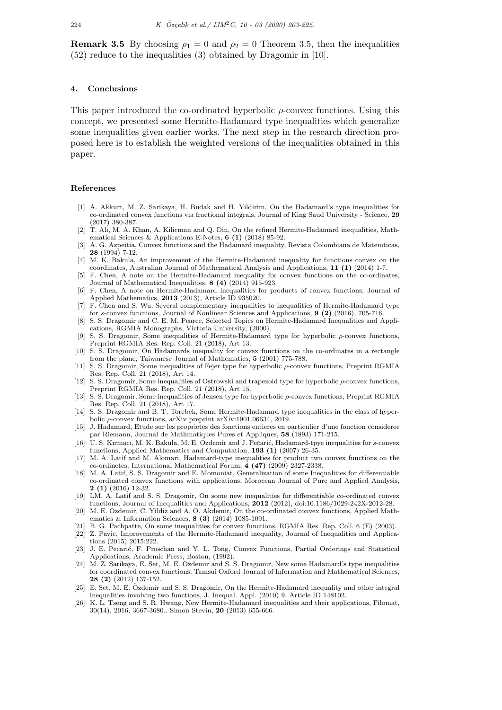**Remark 3.5** By choosing  $\rho_1 = 0$  and  $\rho_2 = 0$  Theorem 3.5, then the inequalities (52) reduce to the inequalities (3) obtained by Dragomir in [10].

### **4. Conclusions**

This paper introduced the co-ordinated hyperbolic *ρ*-convex functions. Using this concept, we presented some Hermite-Hadamard type inequalities which generalize some inequalities given earlier works. The next step in the research direction proposed here is to establish the weighted versions of the inequalities obtained in this paper.

#### **References**

- [1] A. Akkurt, M. Z. Sarikaya, H. Budak and H. Yildirim, On the Hadamard's type inequalities for co-ordinated convex functions via fractional integrals, Journal of King Saud University - Science, **29** (2017) 380-387.
- [2] T. Ali, M. A. Khan, A. Kilicman and Q. Din, On the refined Hermite-Hadamard inequalities, Mathematical Sciences & Applications E-Notes, **6 (1)** (2018) 85-92.
- [3] A. G. Azpeitia, Convex functions and the Hadamard inequality, Revista Colombiana de Matemticas, **28** (1994) 7-12.
- [4] M. K. Bakula, An improvement of the Hermite-Hadamard inequality for functions convex on the coordinates, Australian Journal of Mathematical Analysis and Applications, **11 (1)** (2014) 1-7.
- [5] F. Chen, A note on the Hermite-Hadamard inequality for convex functions on the co-ordinates, Journal of Mathematical Inequalities, **8 (4)** (2014) 915-923.
- [6] F. Chen, A note on Hermite-Hadamard inequalities for products of convex functions, Journal of Applied Mathematics, **2013** (2013), Article ID 935020.
- [7] F. Chen and S. Wu, Several complementary inequalities to inequalities of Hermite-Hadamard type for *s*-convex functions, Journal of Nonlinear Sciences and Applications, **9 (2)** (2016), 705-716.
- [8] S. S. Dragomir and C. E. M. Pearce, Selected Topics on Hermite-Hadamard Inequalities and Applications, RGMIA Monographs, Victoria University, (2000).
- [9] S. S. Dragomir, Some inequalities of Hermite-Hadamard type for hyperbolic *ρ*-convex functions, Preprint RGMIA Res. Rep. Coll. 21 (2018), Art 13.
- [10] S. S. Dragomir, On Hadamards inequality for convex functions on the co-ordinates in a rectangle from the plane, Taiwanese Journal of Mathematics, **5** (2001) 775-788.
- [11] S. S. Dragomir, Some inequalities of Fejer type for hyperbolic *ρ*-convex functions, Preprint RGMIA Res. Rep. Coll. 21 (2018), Art 14.
- [12] S. S. Dragomir, Some inequalities of Ostrowski and trapezoid type for hyperbolic *ρ*-convex functions, Preprint RGMIA Res. Rep. Coll. 21 (2018), Art 15.
- [13] S. S. Dragomir, Some inequalities of Jensen type for hyperbolic *ρ*-convex functions, Preprint RGMIA Res. Rep. Coll. 21 (2018), Art 17.
- [14] S. S. Dragomir and B. T. Torebek, Some Hermite-Hadamard type inequalities in the class of hyperbolic *ρ*-convex functions, arXiv preprint arXiv:1901.06634, 2019.
- [15] J. Hadamard, Etude sur les proprietes des fonctions entieres en particulier d'une fonction consideree par Riemann, Journal de Mathmatiques Pures et Appliques, **58** (1893) 171-215.
- [16] U. S. Kırmacı, M. K. Bakula, M. E. Özdemir and J. Pečarić, Hadamard-tpye inequalities for s-convex functions, Applied Mathematics and Computation, **193 (1)** (2007) 26-35.
- [17] M. A. Latif and M. Alomari, Hadamard-type inequalities for product two convex functions on the co-ordinetes, International Mathematical Forum, **4 (47)** (2009) 2327-2338.
- [18] M. A. Latif, S. S. Dragomir and E. Momoniat, Generalization of some Inequalities for differentiable co-ordinated convex functions with applications, Moroccan Journal of Pure and Applied Analysis, **2 (1)** (2016) 12-32.
- [19] LM. A. Latif and S. S. Dragomir, On some new inequalities for differentiable co-ordinated convex functions, Journal of Inequalities and Applications, **2012** (2012), doi:10.1186/1029-242X-2012-28.
- [20] M. E. Ozdemir, C. Yildiz and A. O. Akdemir, On the co-ordinated convex functions, Applied Mathematics & Information Sciences, **8 (3)** (2014) 1085-1091.
- [21] B. G. Pachpatte, On some inequalities for convex functions, RGMIA Res. Rep. Coll. 6 (E) (2003).
- [22] Z. Pavic, Improvements of the Hermite-Hadamard inequality, Journal of Inequalities and Applications (2015) 2015:222.
- [23] J. E. Pečarić, F. Proschan and Y. L. Tong, Convex Functions, Partial Orderings and Statistical Applications, Academic Press, Boston, (1992).
- [24] M. Z. Sarikaya, E. Set, M. E. Ozdemir and S. S. Dragomir, New some Hadamard's type inequalities for coordinated convex functions, Tamsui Oxford Journal of Information and Mathematical Sciences, **28 (2)** (2012) 137-152.
- [25] E. Set, M. E. Ozdemir and S. S. Dragomir, On the Hermite-Hadamard inequality and other integral ¨ inequalities involving two functions, J. Inequal. Appl. (2010) 9. Article ID 148102.
- [26] K. L. Tseng and S. R. Hwang, New Hermite-Hadamard inequalities and their applications, Filomat, 30(14), 2016, 3667-3680.. Simon Stevin, **20** (2013) 655-666.